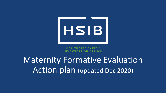

**HEALTHCARE SAFETY** INVESTIGATION BRANCH

# Maternity Formative Evaluation Action plan (updated Dec 2020)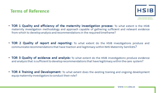#### **Terms of Reference**



- TOR 1 Quality and efficiency of the maternity investigation process: To what extent is the HSIB maternity investigation methodology and approach capable of gathering sufficient and relevant evidence from which to develop analysis and recommendations in the required timeframe?
- TOR 2 Quality of report and reporting: To what extent do the HSIB investigations produce and communicate recommendations that have traction and legitimacy within NHS Maternity Services?
- TOR 3 Quality of evidence and analysis: To what extent do the HSIB investigations produce evidence and analysis that is sufficient to develop recommendations that have legitimacy within the care system?
- TOR 4 Training and Development: To what extent does the existing training and ongoing development equip maternity investigators to conduct their role?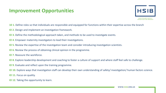#### **Improvement Opportunities**



- **10 1.** Define roles so that individuals are responsible and equipped for functions within their expertise across the branch
- **IO 2.** Design and implement an investigation framework.
- **IO 3.** Define the methodological approach taken, and methods to be used to investigate events.
- **IO 4.** Empower maternity investigators to lead their investigations.
- **IO 5.** Review the expertise of the investigation team and consider introducing investigation scientists.
- **IO 6.** Review the process of obtaining clinical opinion in the programme.
- **IO 7.** Reassure the workforce.
- **IO 8.** Explore leadership development and coaching to foster a culture of support and where staff feel safe to challenge.
- **IO 9.** Evaluate and reflect upon the training programme.
- **IO 10.** Explore ways that investigation staff can develop their own understanding of safety/ investigation/ human factors science.
- **IO 11.** Focus on quality.
- **IO 12**. Taking the opportunity to learn.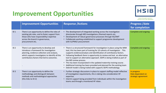### **Improvement Opportunities**



HEALTHCARE SAFETY INVESTIGATION BRANCH

|                 | <b>Improvement Opportunities</b>                                                                                                                                                                                                   | <b>Response /Actions</b>                                                                                                                                                                                                                                                                                                                                                                                                                                                                                                                                                                                                                                                                           | <b>Progress / date</b><br>for completion                |
|-----------------|------------------------------------------------------------------------------------------------------------------------------------------------------------------------------------------------------------------------------------|----------------------------------------------------------------------------------------------------------------------------------------------------------------------------------------------------------------------------------------------------------------------------------------------------------------------------------------------------------------------------------------------------------------------------------------------------------------------------------------------------------------------------------------------------------------------------------------------------------------------------------------------------------------------------------------------------|---------------------------------------------------------|
| 101             | There is an opportunity to define the roles of<br>existing job roles, and to foster support from<br>those who have responsibility/ expertise<br>across the branch in governance,<br>procurement etc.                               | The development of integrated working across the investigation<br>directorate through MD investigations / themed reports etc.<br>Development of robust governance processes through IIG/OMT<br>Collaborate working established to support programme development<br>with IU/PMO/ procurement                                                                                                                                                                                                                                                                                                                                                                                                        | Complete and ongoing                                    |
| 10 <sub>2</sub> | There is an opportunity to develop and<br>introduce a framework for investigation<br>planning, evidence collection and analysis,<br>which supports investigators to identify all the<br>contributory factors that led to outcomes. | • There is a structured framework for investigation in place using the MIM<br>tool, this has been part of training for 10 cohorts of investigators . This<br>supports evidence/analysis and identification of contributory factors.<br>Following feedback there is opportunity to review and test an alternative<br>$\bullet$<br>tool to support an alternative approach. SEIPS is being trialled as part of<br>the MD review process.<br>This has been incorporated in the updated maternity training course.<br>$\bullet$<br>Additional training has been provided and planned for the existing team<br>$\bullet$<br>Debrief model is being trailed with supports SEIPS methodology<br>$\bullet$ | Complete and ongoing                                    |
| 10 <sub>3</sub> | There is an opportunity to define the<br>methodology and distinguish between<br>methods and methodological approaches<br>(this links to IO 2)                                                                                      | • Further strategic discussions in place to support staffing model reflective<br>of investigation requirements, this is taking into consideration HF<br>expertise.<br>Interim support being provided from individuals within the investigation<br>teams and through a monitored HF inbox.                                                                                                                                                                                                                                                                                                                                                                                                          | In progress<br>Date dependant on<br>strategic agreement |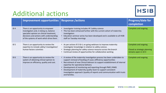# HSIB

# Additional actions

|                 | Improvement opportunities   Response /actions                                                                                                                                                                      |                                                                                                                                                                                                                                                                                                                                                                                                                                                                                                                   | Progress/date for<br>completion                                              |
|-----------------|--------------------------------------------------------------------------------------------------------------------------------------------------------------------------------------------------------------------|-------------------------------------------------------------------------------------------------------------------------------------------------------------------------------------------------------------------------------------------------------------------------------------------------------------------------------------------------------------------------------------------------------------------------------------------------------------------------------------------------------------------|------------------------------------------------------------------------------|
| 104             | There is an opportunity to empower<br>investigators and, in doing so, balance<br>specialist opinion on clinical treatment,<br>decisions and actions with understanding<br>of the systems of work which drive them. | Investigator training includes HF /safety science<br>$\bullet$<br>This has been enhanced further with the current cohort of maternity<br>$\bullet$<br>investigators<br>Education seminar series has been developed and is available to all HSIB<br>$\bullet$<br>staff on Tuesday mornings                                                                                                                                                                                                                         | Complete and ongoing                                                         |
| 10 <sub>5</sub> | There is an opportunity to review the<br>expertise to include safety/investigation/<br>human factors scientists                                                                                                    | • As per actions IO 3 & 4, on going webinars to improve maternity<br>investigator knowledge in relation to safety science.<br>Strategic planning for safety science resource across the branch<br>$\bullet$<br>Continual review of opportunities for collaborative working<br>$\bullet$                                                                                                                                                                                                                           | Complete and ongoing<br>Closed as strategic planning<br>remains open in 10 3 |
| 106             | There is an opportunity to review the<br>system of obtaining clinical opinion to<br>improve on efficiency, quality and cost.                                                                                       | • A review of the maternity investigation process has been undertaken to<br>support removal of backlog of cases / efficiency opportunities<br>Recruitment of new Clinical Advisors to support establishment of internal<br>expertise for operational delivery<br>Development of monitoring and reporting through PMO /HIMS<br>$\bullet$<br>Development of maternity quality team to support consistent<br>$\bullet$<br>investigation approach / quality of reports and communication with trusts<br>and families. | Complete and ongoing                                                         |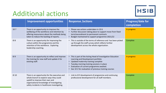# Additional actions



HEALTHCARE SAFETY

|       | <b>Improvement opportunities</b>                                                                                                                                                                                           | <b>Response /actions</b>                                                                                                                                                                                                                                                                          | Progress/date for<br>completion |
|-------|----------------------------------------------------------------------------------------------------------------------------------------------------------------------------------------------------------------------------|---------------------------------------------------------------------------------------------------------------------------------------------------------------------------------------------------------------------------------------------------------------------------------------------------|---------------------------------|
| 107   | There is an opportunity to improve the<br>wellbeing of the workforce and retention by<br>offering reassurance about the methods being<br>taken to reduce the backlog of reports.                                           | • Please see actions undertaken in 10 6<br>• Further discussion taking place to support move from fixed<br>term/secondment to permanent contracts<br>Budget maintained to support programme 2021/22                                                                                               | In progress                     |
| 108   | There is an opportunity for improving the<br>culture within the programme and the<br>retention of the workforce. Exploring<br>leadership coaching.                                                                         | • This is outside of the terms of reference and has been picked<br>up through the staff survey which reflects further<br>development across the whole organisation.                                                                                                                               | Complete                        |
| 109   | There is an opportunity to reflect and improve<br>the training for new staff and update it for<br>existing staff.                                                                                                          | • This is part of the Acting Head of Investigation Education<br>Learning and Development portfolio<br>• Updated maternity training complete<br>• Tuesday morning training sessions in place<br>Evaluation of current programme awaited.<br>• See 10 2 for evaluation of previous training courses | In progress                     |
| 10 10 | There is an opportunity for the executive and<br>whole branch to explore ways they could<br>upskill to improve their own and<br>organisational knowledge of investigating<br>safety incidents in healthcare investigating. | • Link to IO 9 development of programme and continuing<br>professional development for all staff members.                                                                                                                                                                                         | Complete                        |